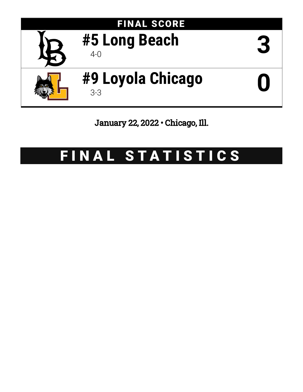

January 22, 2022 • Chicago, Ill.

# FINAL STATISTICS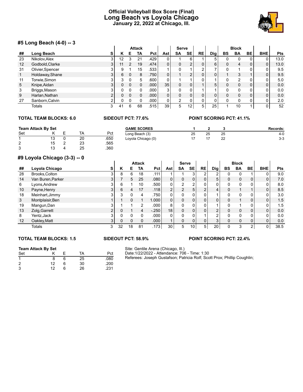## **Official Volleyball Box Score (Final) Long Beach vs Loyola Chicago January 22, 2022 at Chicago, Ill.**



### **#5 Long Beach (4-0) -- 3**

|    | $\pi$ <sup>2</sup> LUIIY DEAUII (4-0) -- 9 |        |    |             |               |            |                 |                |           |                |            |           |                |           |            |            |
|----|--------------------------------------------|--------|----|-------------|---------------|------------|-----------------|----------------|-----------|----------------|------------|-----------|----------------|-----------|------------|------------|
|    |                                            |        |    |             | <b>Attack</b> |            |                 | <b>Serve</b>   |           |                |            |           | <b>Block</b>   |           |            |            |
| ## | Long Beach                                 | s      | ĸ  | Е           | TA            | <b>Pct</b> | Astl            | <b>SA</b>      | <b>SE</b> | <b>RE</b>      | <b>Dig</b> | <b>BS</b> | <b>BA</b>      | <b>BE</b> | <b>BHE</b> | <b>Pts</b> |
| 23 | Nikolov.Alex                               | 3      | 12 | 3           | 21            | .429       | 0               |                | 6         |                | 5          | 0         | 0              | 0         | 0          | 13.0       |
| 12 | Godbold, Clarke                            | 3      | 11 | 2           | 19            | .474       | $\overline{0}$  | 0              | C         | 0              | 6          | $\Omega$  | 4              | 0         | 0          | 13.0       |
| 31 | Olivier, Spencer                           |        |    |             | 15            | .533       |                 |                |           | 2              |            |           |                | 0         |            | 9.5        |
|    | Holdaway, Shane                            | 3      | 6  | 0           | 8             | .750       | $\overline{0}$  |                | 2         | 0              |            |           | 3              |           | 0          | 9.5        |
| 11 | Torwie, Simon                              | ົ      |    | $\mathbf 0$ | 5             | .600       | $\overline{0}$  |                |           | 0              |            | $\Omega$  | $\mathfrak{p}$ | 0         | 0          | 5.0        |
| 5  | Knipe, Aidan                               | 3      |    | $\Omega$    | 0             | .000       | 35              | 0              | 0         |                | 5          | $\Omega$  | 0              | 0         | 0          | 0.0        |
| 3  | Briggs, Mason                              | 3      |    | $\Omega$    | 0             | .000       | 3               | 0              | 0         |                |            | $\Omega$  | 0              | 0         | 0          | 0.0        |
| 9  | Harlan, Nathan                             | C      | 0  | $\Omega$    | $\Omega$      | .000       | $\overline{0}$  | 0              | 0         | $\mathbf{0}$   | 0          | $\Omega$  | 0              | 0         | 0          | 0.0        |
| 27 | Sanborn, Calvin                            | ◠<br>∠ |    | $\mathbf 0$ | 0             | .000       | $\overline{0}$  | $\mathfrak{p}$ | 0         | 0              |            |           | 0              | 0         | 0          | 2.0        |
|    | Totals                                     | 3      | 41 | 6           | 68            | .515       | 39 <sup>°</sup> | 5              | 12        | 5 <sup>1</sup> | 25         |           | 10             |           | 0          | 52         |

## **TOTAL TEAM BLOCKS: 6.0 SIDEOUT PCT: 77.6% POINT SCORING PCT: 41.1%**

| <b>Team Attack By Set</b> |  |    | <b>GAME SCORES</b> |                    |    |    | Records: |       |
|---------------------------|--|----|--------------------|--------------------|----|----|----------|-------|
| Set                       |  | TA | Pct                | Long Beach (3)     | 25 | 25 | 25       | 4-0   |
|                           |  | 20 | .650               | Loyola Chicago (0) |    |    | 22       | $3-3$ |
| ົ<br>▵                    |  | 23 | .565               |                    |    |    |          |       |
| ົ                         |  | 25 | .360               |                    |    |    |          |       |

#### **#9 Loyola Chicago (3-3) -- 0**

|    | י -- <i>נ</i> טיטן טאַמערווט גערער די |                |    |    |               |         |                 |                |                |                |                 |    |              |                |                |      |
|----|---------------------------------------|----------------|----|----|---------------|---------|-----------------|----------------|----------------|----------------|-----------------|----|--------------|----------------|----------------|------|
|    |                                       |                |    |    | <b>Attack</b> |         |                 | <b>Serve</b>   |                |                |                 |    | <b>Block</b> |                |                |      |
| ## | Loyola Chicago                        | s              | κ  | Е  | TA            | Pct     | Ast             | <b>SA</b>      | <b>SE</b>      | <b>RE</b>      | Dig             | BS | <b>BA</b>    | <b>BE</b>      | <b>BHE</b>     | Pts  |
| 28 | Brooks, Colton                        | 3              | 8  | 6  | 18            | .111    |                 |                | 3              | 2              | 2               |    |              |                | 0              | 9.0  |
| 14 | Van Buren, Parker                     | 3              |    | 5  | 25            | .080    | 0 <sub>1</sub>  | 0              | 0              | 0              | 5               |    | $\mathbf 0$  | 0              | 0              | 7.0  |
| 6  | Lyons, Andrew                         | 3              | 6  |    | 10            | .500    | 0 <sub>1</sub>  | 2              | 2              | 0              | 0               |    | 0            |                | 0              | 8.0  |
| 10 | Payne, Henry                          | 3              | 6  | 4  | 17            | .118    | C               | $\mathfrak{p}$ | 5              | C              | 4               |    |              |                | $\mathbf{0}$   | 8.5  |
| 18 | Meinhart, Jimmy                       |                | 3  |    | 4             | .750    | 0               | $\Omega$       |                |                |                 | 0  | $\Omega$     |                | 0              | 3.0  |
| 3  | Montplaisir, Ben                      |                |    |    |               | 1.000   | $\overline{0}$  | 0              | $\overline{0}$ | 0              | $\overline{0}$  |    |              | 0              | 0              | 1.5  |
| 19 | Mangun, Dan                           | 3              |    |    | 2             | .000    | 8               | $\Omega$       | 0              | 0              |                 | U  |              | 0              | 0              | 1.5  |
| 13 | Zolg, Garrett                         | $\overline{2}$ |    |    | 4             | $-.250$ | 18 <sup>1</sup> | 0              | $\Omega$       | 0              | 2 <sub>1</sub>  | 0  | $\mathbf 0$  | 0              | $\overline{0}$ | 0.0  |
| 8  | Yentz, Jack                           | 3              |    |    |               | .000    | 0               | $\Omega$       | 0              |                | 2               |    | $\Omega$     | 0              | 0              | 0.0  |
| 12 | Oakley, Matt                          | 3 <sup>1</sup> | 0  |    | $\Omega$      | .000    |                 | 0              | $\mathbf{0}$   | $\mathbf{0}$   | 3 <sup>1</sup>  | 0  | $\Omega$     | $\mathbf{0}$   | 0              | 0.0  |
|    | Totals                                | 3              | 32 | 18 | 81            | .173    | 30              | 5              | 10             | 5 <sub>1</sub> | 20 <sub>1</sub> |    | 3            | $\overline{2}$ | 0              | 38.5 |

#### **TOTAL TEAM BLOCKS: 1.5 SIDEOUT PCT: 58.9% POINT SCORING PCT: 22.4%**

#### **Team Attack By Set**

| Set            |    |     | TA | Pct  |
|----------------|----|-----|----|------|
| $\overline{1}$ | 8  | 6   | 25 | .080 |
| $\overline{2}$ | 12 | 6   | 30 | .200 |
| 3              | 12 | ี่ค | 26 | .231 |

#### Site: Gentile Arena (Chicago, Ill.) Date:1/22/2022 - Attendance: 706 - Time: 1:30 Referees: Joseph Gustafson; Patricia Rolf; Scott Prox; Phillip Coughlin;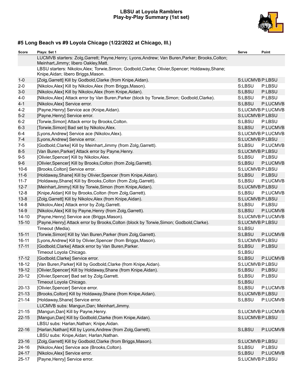#### **LBSU at Loyola Ramblers Play-by-Play Summary (1st set)**



# **#5 Long Beach vs #9 Loyola Chicago (1/22/2022 at Chicago, Ill.)**

| Score     | Plays: Set 1                                                                                                                             | Serve           | Point             |
|-----------|------------------------------------------------------------------------------------------------------------------------------------------|-----------------|-------------------|
|           | LUCMVB starters: Zolg, Garrett; Payne, Henry; Lyons, Andrew; Van Buren, Parker; Brooks, Colton;<br>Meinhart, Jimmy; libero Oakley, Matt. |                 |                   |
|           | LBSU starters: Nikolov, Alex; Torwie, Simon; Godbold, Clarke; Olivier, Spencer; Holdaway, Shane;<br>Knipe, Aidan; libero Briggs, Mason.  |                 |                   |
| $1 - 0$   | [Zolg, Garrett] Kill by Godbold, Clarke (from Knipe, Aidan).                                                                             | S:LUCMVB P:LBSU |                   |
| $2 - 0$   | [Nikolov, Alex] Kill by Nikolov, Alex (from Briggs, Mason).                                                                              | S:LBSU          | P:LBSU            |
| $3-0$     | [Nikolov, Alex] Kill by Nikolov, Alex (from Knipe, Aidan).                                                                               | S:LBSU          | P:LBSU            |
| $4-0$     | [Nikolov, Alex] Attack error by Van Buren, Parker (block by Torwie, Simon; Godbold, Clarke).                                             | S:LBSU          | P:LBSU            |
| $4 - 1$   | [Nikolov, Alex] Service error.                                                                                                           | S:LBSU          | P:LUCMVB          |
| $4 - 2$   | [Payne, Henry] Service ace (Knipe, Aidan).                                                                                               |                 | S:LUCMVB P:LUCMVB |
| $5-2$     | [Payne, Henry] Service error.                                                                                                            | S:LUCMVB P:LBSU |                   |
| $6 - 2$   | [Torwie, Simon] Attack error by Brooks, Colton.                                                                                          | S:LBSU          | P:LBSU            |
| $6 - 3$   | [Torwie, Simon] Bad set by Nikolov, Alex.                                                                                                | S:LBSU          | P:LUCMVB          |
| $6 - 4$   | [Lyons, Andrew] Service ace (Nikolov, Alex).                                                                                             |                 | S:LUCMVB P:LUCMVB |
| $7 - 4$   | [Lyons, Andrew] Service error.                                                                                                           | S:LUCMVB P:LBSU |                   |
| $7-5$     | [Godbold, Clarke] Kill by Meinhart, Jimmy (from Zolg, Garrett).                                                                          | S:LBSU          | P:LUCMVB          |
| $8-5$     | [Van Buren, Parker] Attack error by Payne, Henry.                                                                                        | S:LUCMVB P:LBSU |                   |
| $9-5$     | [Olivier, Spencer] Kill by Nikolov, Alex.                                                                                                | S:LBSU          | P:LBSU            |
| $9-6$     | [Olivier, Spencer] Kill by Brooks, Colton (from Zolg, Garrett).                                                                          | S:LBSU          | P:LUCMVB          |
| $10 - 6$  | [Brooks, Colton] Service error.                                                                                                          | S:LUCMVB P:LBSU |                   |
| $11 - 6$  | [Holdaway, Shane] Kill by Olivier, Spencer (from Knipe, Aidan).                                                                          | S:LBSU          | P:LBSU            |
| $11 - 7$  | [Holdaway, Shane] Kill by Brooks, Colton (from Zolg, Garrett).                                                                           | S:LBSU          | P:LUCMVB          |
| $12 - 7$  | [Meinhart, Jimmy] Kill by Torwie, Simon (from Knipe, Aidan).                                                                             | S:LUCMVB P:LBSU |                   |
| $12 - 8$  | [Knipe, Aidan] Kill by Brooks, Colton (from Zolg, Garrett).                                                                              | S:LBSU          | P:LUCMVB          |
| $13 - 8$  | [Zolg, Garrett] Kill by Nikolov, Alex (from Knipe, Aidan).                                                                               | S:LUCMVB P:LBSU |                   |
| $14 - 8$  | [Nikolov, Alex] Attack error by Zolg, Garrett.                                                                                           | S:LBSU          | P:LBSU            |
| $14-9$    | [Nikolov, Alex] Kill by Payne, Henry (from Zolg, Garrett).                                                                               | S:LBSU          | P:LUCMVB          |
| $14 - 10$ | [Payne, Henry] Service ace (Briggs, Mason).                                                                                              |                 | S:LUCMVB P:LUCMVB |
| $15 - 10$ | [Payne, Henry] Attack error by Brooks, Colton (block by Torwie, Simon; Godbold, Clarke).                                                 | S:LUCMVB P:LBSU |                   |
|           | Timeout (Media).                                                                                                                         | S:LBSU          |                   |
| $15 - 11$ | [Torwie, Simon] Kill by Van Buren, Parker (from Zolg, Garrett).                                                                          | S:LBSU          | P:LUCMVB          |
| $16 - 11$ | [Lyons, Andrew] Kill by Olivier, Spencer (from Briggs, Mason).                                                                           | S:LUCMVB P:LBSU |                   |
| $17 - 11$ | [Godbold, Clarke] Attack error by Van Buren, Parker.                                                                                     | S:LBSU          | P:LBSU            |
|           | Timeout Loyola Chicago.                                                                                                                  | S:LBSU          |                   |
| $17 - 12$ | [Godbold, Clarke] Service error.                                                                                                         | S:LBSU          | P:LUCMVB          |
| $18 - 12$ | [Van Buren, Parker] Kill by Godbold, Clarke (from Knipe, Aidan).                                                                         | S:LUCMVB P:LBSU |                   |
| 19-12     | [Olivier, Spencer] Kill by Holdaway, Shane (from Knipe, Aidan).                                                                          | S:LBSU          | P:LBSU            |
| $20 - 12$ | [Olivier, Spencer] Bad set by Zolg, Garrett.                                                                                             | S:LBSU          | P:LBSU            |
|           | Timeout Loyola Chicago.                                                                                                                  | S:LBSU          |                   |
| $20 - 13$ | [Olivier, Spencer] Service error.                                                                                                        | S:LBSU          | P:LUCMVB          |
| $21 - 13$ | [Brooks, Colton] Kill by Holdaway, Shane (from Knipe, Aidan).                                                                            | S:LUCMVB P:LBSU |                   |
| $21 - 14$ | [Holdaway, Shane] Service error.                                                                                                         | S:LBSU          | P:LUCMVB          |
|           | LUCMVB subs: Mangun, Dan; Meinhart, Jimmy.                                                                                               |                 |                   |
| $21 - 15$ | [Mangun, Dan] Kill by Payne, Henry.                                                                                                      |                 | S:LUCMVB P:LUCMVB |
| $22 - 15$ | [Mangun, Dan] Kill by Godbold, Clarke (from Knipe, Aidan).                                                                               | S:LUCMVB P:LBSU |                   |
|           | LBSU subs: Harlan, Nathan; Knipe, Aidan.                                                                                                 |                 |                   |
| $22 - 16$ | [Harlan, Nathan] Kill by Lyons, Andrew (from Zolg, Garrett).                                                                             | S:LBSU          | P:LUCMVB          |
|           | LBSU subs: Knipe, Aidan; Harlan, Nathan.                                                                                                 |                 |                   |
| 23-16     | [Zolg, Garrett] Kill by Godbold, Clarke (from Briggs, Mason).                                                                            | S:LUCMVB P:LBSU |                   |
| 24-16     | [Nikolov, Alex] Service ace (Brooks, Colton).                                                                                            | S:LBSU          | P:LBSU            |
| $24 - 17$ | [Nikolov, Alex] Service error.                                                                                                           | S:LBSU          | P:LUCMVB          |
| $25 - 17$ | [Payne, Henry] Service error.                                                                                                            | S:LUCMVB P:LBSU |                   |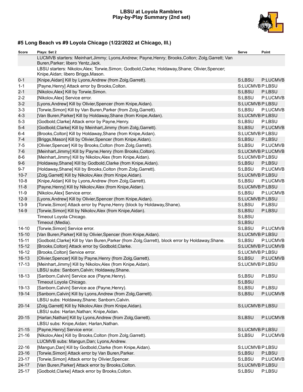## **LBSU at Loyola Ramblers Play-by-Play Summary (2nd set)**



# **#5 Long Beach vs #9 Loyola Chicago (1/22/2022 at Chicago, Ill.)**

| <b>Score</b> | Plays: Set 2                                                                                                                            | Serve           | Point             |
|--------------|-----------------------------------------------------------------------------------------------------------------------------------------|-----------------|-------------------|
|              | LUCMVB starters: Meinhart, Jimmy; Lyons, Andrew; Payne, Henry; Brooks, Colton; Zolg, Garrett; Van<br>Buren, Parker; libero Yentz, Jack. |                 |                   |
|              | LBSU starters: Nikolov, Alex; Torwie, Simon; Godbold, Clarke; Holdaway, Shane; Olivier, Spencer;<br>Knipe, Aidan; libero Briggs, Mason. |                 |                   |
| $0 - 1$      | [Knipe, Aidan] Kill by Lyons, Andrew (from Zolg, Garrett).                                                                              | S:LBSU          | P:LUCMVB          |
| $1 - 1$      | [Payne, Henry] Attack error by Brooks, Colton.                                                                                          | S:LUCMVB P:LBSU |                   |
| $2 - 1$      | [Nikolov, Alex] Kill by Torwie, Simon.                                                                                                  | S:LBSU          | P:LBSU            |
| $2 - 2$      | [Nikolov, Alex] Service error.                                                                                                          | S:LBSU          | P:LUCMVB          |
| $3-2$        | [Lyons, Andrew] Kill by Olivier, Spencer (from Knipe, Aidan).                                                                           | S:LUCMVB P:LBSU |                   |
| $3 - 3$      | [Torwie, Simon] Kill by Van Buren, Parker (from Zolg, Garrett).                                                                         | S:LBSU          | P:LUCMVB          |
| $4 - 3$      | [Van Buren, Parker] Kill by Holdaway, Shane (from Knipe, Aidan).                                                                        | S:LUCMVB P:LBSU |                   |
| $5-3$        | [Godbold, Clarke] Attack error by Payne, Henry.                                                                                         | S:LBSU          | P:LBSU            |
| $5-4$        | [Godbold, Clarke] Kill by Meinhart, Jimmy (from Zolg, Garrett).                                                                         | S:LBSU          | P:LUCMVB          |
| $6 - 4$      | [Brooks, Colton] Kill by Holdaway, Shane (from Knipe, Aidan).                                                                           | S:LUCMVB P:LBSU |                   |
| $7 - 4$      | [Briggs, Mason] Kill by Olivier, Spencer (from Knipe, Aidan).                                                                           | S:LBSU          | P:LBSU            |
| $7-5$        | [Olivier, Spencer] Kill by Brooks, Colton (from Zolg, Garrett).                                                                         | S:LBSU          | P:LUCMVB          |
| $7-6$        | [Meinhart, Jimmy] Kill by Payne, Henry (from Brooks, Colton).                                                                           |                 | S:LUCMVB P:LUCMVB |
| $8-6$        | [Meinhart, Jimmy] Kill by Nikolov, Alex (from Knipe, Aidan).                                                                            | S:LUCMVB P:LBSU |                   |
| $9-6$        | [Holdaway, Shane] Kill by Godbold, Clarke (from Knipe, Aidan).                                                                          | S:LBSU          | P:LBSU            |
| $9 - 7$      | [Holdaway, Shane] Kill by Brooks, Colton (from Zolg, Garrett).                                                                          | S:LBSU          | P:LUCMVB          |
| $10 - 7$     | [Zolg, Garrett] Kill by Nikolov, Alex (from Knipe, Aidan).                                                                              | S:LUCMVB P:LBSU |                   |
| $10 - 8$     | [Knipe, Aidan] Kill by Lyons, Andrew (from Zolg, Garrett).                                                                              | S:LBSU          | P:LUCMVB          |
| $11 - 8$     | [Payne, Henry] Kill by Nikolov, Alex (from Knipe, Aidan).                                                                               | S:LUCMVB P:LBSU |                   |
| $11-9$       | [Nikolov, Alex] Service error.                                                                                                          | S:LBSU          | P:LUCMVB          |
| $12-9$       | [Lyons, Andrew] Kill by Olivier, Spencer (from Knipe, Aidan).                                                                           | S:LUCMVB P:LBSU |                   |
| $13-9$       | [Torwie, Simon] Attack error by Payne, Henry (block by Holdaway, Shane).                                                                | S:LBSU          | P:LBSU            |
| $14-9$       | [Torwie, Simon] Kill by Nikolov, Alex (from Knipe, Aidan).                                                                              | S:LBSU          | P:LBSU            |
|              | Timeout Loyola Chicago.                                                                                                                 | S:LBSU          |                   |
|              | Timeout (Media).                                                                                                                        | S:LBSU          |                   |
| $14 - 10$    | [Torwie, Simon] Service error.                                                                                                          | S:LBSU          | P:LUCMVB          |
| $15 - 10$    | [Van Buren, Parker] Kill by Olivier, Spencer (from Knipe, Aidan).                                                                       | S:LUCMVB P:LBSU |                   |
| $15 - 11$    | [Godbold, Clarke] Kill by Van Buren, Parker (from Zolg, Garrett), block error by Holdaway, Shane.                                       | S:LBSU          | P:LUCMVB          |
| $15 - 12$    | [Brooks, Colton] Attack error by Godbold, Clarke.                                                                                       |                 | S:LUCMVB P:LUCMVB |
| $16 - 12$    | [Brooks, Colton] Service error.                                                                                                         | S:LUCMVB P:LBSU |                   |
| $16 - 13$    | [Olivier, Spencer] Kill by Payne, Henry (from Zolg, Garrett).                                                                           | S:LBSU          | P:LUCMVB          |
| $17 - 13$    | [Meinhart, Jimmy] Kill by Nikolov, Alex (from Knipe, Aidan).                                                                            | S:LUCMVB P:LBSU |                   |
|              | LBSU subs: Sanborn, Calvin; Holdaway, Shane.                                                                                            |                 |                   |
| 18-13        | [Sanborn, Calvin] Service ace (Payne, Henry).                                                                                           | S:LBSU          | P:LBSU            |
|              | Timeout Loyola Chicago.                                                                                                                 | S:LBSU          |                   |
| 19-13        | [Sanborn, Calvin] Service ace (Payne, Henry).                                                                                           | S:LBSU          | P:LBSU            |
| 19-14        | [Sanborn, Calvin] Kill by Lyons, Andrew (from Zolg, Garrett).                                                                           | S:LBSU          | P:LUCMVB          |
|              | LBSU subs: Holdaway, Shane; Sanborn, Calvin.                                                                                            |                 |                   |
| $20 - 14$    | [Zolg, Garrett] Kill by Nikolov, Alex (from Knipe, Aidan).                                                                              | S:LUCMVB P:LBSU |                   |
|              | LBSU subs: Harlan, Nathan; Knipe, Aidan.                                                                                                |                 |                   |
| $20 - 15$    | [Harlan, Nathan] Kill by Lyons, Andrew (from Zolg, Garrett).                                                                            | S:LBSU          | P:LUCMVB          |
|              | LBSU subs: Knipe, Aidan; Harlan, Nathan.                                                                                                |                 |                   |
| $21 - 15$    | [Payne, Henry] Service error.                                                                                                           | S:LUCMVB P:LBSU |                   |
| $21 - 16$    | [Nikolov, Alex] Kill by Brooks, Colton (from Zolg, Garrett).                                                                            | S:LBSU          | P:LUCMVB          |
|              | LUCMVB subs: Mangun, Dan; Lyons, Andrew.                                                                                                |                 |                   |
| $22 - 16$    | [Mangun, Dan] Kill by Godbold, Clarke (from Knipe, Aidan).                                                                              | S:LUCMVB P:LBSU |                   |
| $23 - 16$    | [Torwie, Simon] Attack error by Van Buren, Parker.                                                                                      | S:LBSU          | P:LBSU            |
| $23 - 17$    | [Torwie, Simon] Attack error by Olivier, Spencer.                                                                                       | S:LBSU          | P:LUCMVB          |
| $24 - 17$    | [Van Buren, Parker] Attack error by Brooks, Colton.                                                                                     | S:LUCMVB P:LBSU |                   |
| $25 - 17$    | [Godbold, Clarke] Attack error by Brooks, Colton.                                                                                       | S:LBSU          | P:LBSU            |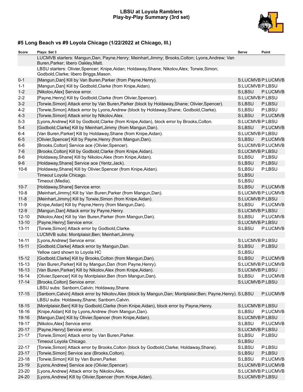## **LBSU at Loyola Ramblers Play-by-Play Summary (3rd set)**



# **#5 Long Beach vs #9 Loyola Chicago (1/22/2022 at Chicago, Ill.)**

| Score     | Plays: Set 3                                                                                                                                                   | Serve           | Point             |
|-----------|----------------------------------------------------------------------------------------------------------------------------------------------------------------|-----------------|-------------------|
|           | LUCMVB starters: Mangun,Dan; Payne,Henry; Meinhart,Jimmy; Brooks,Colton; Lyons,Andrew; Van<br>Buren, Parker; libero Oakley, Matt.                              |                 |                   |
|           | LBSU starters: Olivier, Spencer; Knipe, Aidan; Holdaway, Shane; Nikolov, Alex; Torwie, Simon;<br>Godbold, Clarke; libero Briggs, Mason.                        |                 |                   |
| $0 - 1$   | [Mangun, Dan] Kill by Van Buren, Parker (from Payne, Henry).                                                                                                   |                 | S:LUCMVB P:LUCMVB |
| $1 - 1$   | [Mangun, Dan] Kill by Godbold, Clarke (from Knipe, Aidan).                                                                                                     | S:LUCMVB P:LBSU |                   |
| $1 - 2$   | [Nikolov, Alex] Service error.                                                                                                                                 | S:LBSU          | P:LUCMVB          |
| $2 - 2$   | [Payne, Henry] Kill by Godbold, Clarke (from Olivier, Spencer).                                                                                                | S:LUCMVB P:LBSU |                   |
| $3-2$     | [Torwie, Simon] Attack error by Van Buren, Parker (block by Holdaway, Shane; Olivier, Spencer).                                                                | S:LBSU          | P:LBSU            |
| $4 - 2$   | [Torwie, Simon] Attack error by Lyons, Andrew (block by Holdaway, Shane; Godbold, Clarke).                                                                     | S:LBSU          | P:LBSU            |
| $4 - 3$   | [Torwie, Simon] Attack error by Nikolov, Alex.                                                                                                                 | S:LBSU          | P:LUCMVB          |
| $5 - 3$   | [Lyons, Andrew] Kill by Godbold, Clarke (from Knipe, Aidan), block error by Brooks, Colton.                                                                    | S:LUCMVB P:LBSU |                   |
| $5-4$     | [Godbold, Clarke] Kill by Meinhart, Jimmy (from Mangun, Dan).                                                                                                  | S:LBSU          | P:LUCMVB          |
| $6 - 4$   | [Van Buren, Parker] Kill by Holdaway, Shane (from Knipe, Aidan).                                                                                               | S:LUCMVB P:LBSU |                   |
| $6-5$     | [Olivier, Spencer] Kill by Payne, Henry (from Mangun, Dan).                                                                                                    | S:LBSU          | P:LUCMVB          |
| $6-6$     | [Brooks, Colton] Service ace (Olivier, Spencer).                                                                                                               |                 | S:LUCMVB P:LUCMVB |
| $7-6$     | [Brooks, Colton] Kill by Godbold, Clarke (from Knipe, Aidan).                                                                                                  | S:LUCMVB P:LBSU |                   |
| $8-6$     | [Holdaway, Shane] Kill by Nikolov, Alex (from Knipe, Aidan).                                                                                                   | S:LBSU          | P:LBSU            |
| $9-6$     | [Holdaway, Shane] Service ace (Yentz, Jack).                                                                                                                   | S:LBSU          | P:LBSU            |
| $10-6$    | [Holdaway, Shane] Kill by Olivier, Spencer (from Knipe, Aidan).                                                                                                | S:LBSU          | P:LBSU            |
|           | Timeout Loyola Chicago.                                                                                                                                        | S:LBSU          |                   |
|           | Timeout (Media).                                                                                                                                               | S:LBSU          |                   |
| $10 - 7$  | [Holdaway, Shane] Service error.                                                                                                                               | S:LBSU          | P:LUCMVB          |
| $10 - 8$  | [Meinhart, Jimmy] Kill by Van Buren, Parker (from Mangun, Dan).                                                                                                |                 | S:LUCMVB P:LUCMVB |
| $11 - 8$  | [Meinhart, Jimmy] Kill by Torwie, Simon (from Knipe, Aidan).                                                                                                   | S:LUCMVB P:LBSU |                   |
| $11-9$    | [Knipe, Aidan] Kill by Payne, Henry (from Mangun, Dan).                                                                                                        | S:LBSU          | P:LUCMVB          |
| $12-9$    | [Mangun, Dan] Attack error by Payne, Henry.                                                                                                                    | S:LUCMVB P:LBSU |                   |
| $12 - 10$ | [Nikolov, Alex] Kill by Van Buren, Parker (from Mangun, Dan).                                                                                                  | S:LBSU          | P:LUCMVB          |
| $13 - 10$ | [Payne, Henry] Service error.                                                                                                                                  | S:LUCMVB P:LBSU |                   |
| $13 - 11$ | [Torwie, Simon] Attack error by Godbold, Clarke.                                                                                                               | S:LBSU          | P:LUCMVB          |
|           | LUCMVB subs: Montplaisir, Ben; Meinhart, Jimmy.                                                                                                                |                 |                   |
| $14 - 11$ | [Lyons, Andrew] Service error.                                                                                                                                 | S:LUCMVB P:LBSU |                   |
| $15 - 11$ | [Godbold, Clarke] Attack error by Mangun, Dan.                                                                                                                 | S:LBSU          | P:LBSU            |
|           | Yellow card shown to Loyola HC                                                                                                                                 | S:LBSU          |                   |
| $15 - 12$ | [Godbold, Clarke] Kill by Brooks, Colton (from Mangun, Dan).                                                                                                   | S:LBSU          | P:LUCMVB          |
| $15 - 13$ | [Van Buren, Parker] Kill by Mangun, Dan (from Payne, Henry).                                                                                                   |                 | S:LUCMVB P:LUCMVB |
| $16 - 13$ | [Van Buren, Parker] Kill by Nikolov, Alex (from Knipe, Aidan).                                                                                                 | S:LUCMVB P:LBSU |                   |
| $16 - 14$ | [Olivier, Spencer] Kill by Montplaisir, Ben (from Mangun, Dan).                                                                                                | S:LBSU          | P:LUCMVB          |
| $17 - 14$ | [Brooks, Colton] Service error.                                                                                                                                | S:LUCMVB P:LBSU |                   |
|           | LBSU subs: Sanborn, Calvin; Holdaway, Shane.                                                                                                                   |                 |                   |
| $17 - 15$ | [Sanborn, Calvin] Attack error by Nikolov, Alex (block by Mangun, Dan; Montplaisir, Ben; Payne, Henry). S:LBSU<br>LBSU subs: Holdaway, Shane; Sanborn, Calvin. |                 | P:LUCMVB          |
| $18 - 15$ | [Montplaisir, Ben] Kill by Godbold, Clarke (from Knipe, Aidan), block error by Payne, Henry.                                                                   | S:LUCMVB P:LBSU |                   |
| 18-16     | [Knipe, Aidan] Kill by Lyons, Andrew (from Mangun, Dan).                                                                                                       | S:LBSU          | P:LUCMVB          |
| 19-16     | [Mangun, Dan] Kill by Olivier, Spencer (from Knipe, Aidan).                                                                                                    | S:LUCMVB P:LBSU |                   |
| 19-17     | [Nikolov, Alex] Service error.                                                                                                                                 | S:LBSU          | P:LUCMVB          |
| $20 - 17$ | [Payne, Henry] Service error.                                                                                                                                  | S:LUCMVB P:LBSU |                   |
| $21 - 17$ | [Torwie, Simon] Attack error by Van Buren, Parker.                                                                                                             | S:LBSU          | P:LBSU            |
|           | Timeout Loyola Chicago.                                                                                                                                        | S:LBSU          |                   |
| $22 - 17$ | [Torwie, Simon] Attack error by Brooks, Colton (block by Godbold, Clarke; Holdaway, Shane).                                                                    | S:LBSU          | P:LBSU            |
| $23 - 17$ | [Torwie, Simon] Service ace (Brooks, Colton).                                                                                                                  | S:LBSU          | P:LBSU            |
| $23 - 18$ | [Torwie,Simon] Kill by Van Buren, Parker.                                                                                                                      | S:LBSU          | P:LUCMVB          |
| 23-19     | [Lyons, Andrew] Service ace (Olivier, Spencer).                                                                                                                |                 | S:LUCMVB P:LUCMVB |
| 23-20     | [Lyons, Andrew] Attack error by Nikolov, Alex.                                                                                                                 |                 | S:LUCMVB P:LUCMVB |
| 24-20     | [Lyons, Andrew] Kill by Olivier, Spencer (from Knipe, Aidan).                                                                                                  | S:LUCMVB P:LBSU |                   |